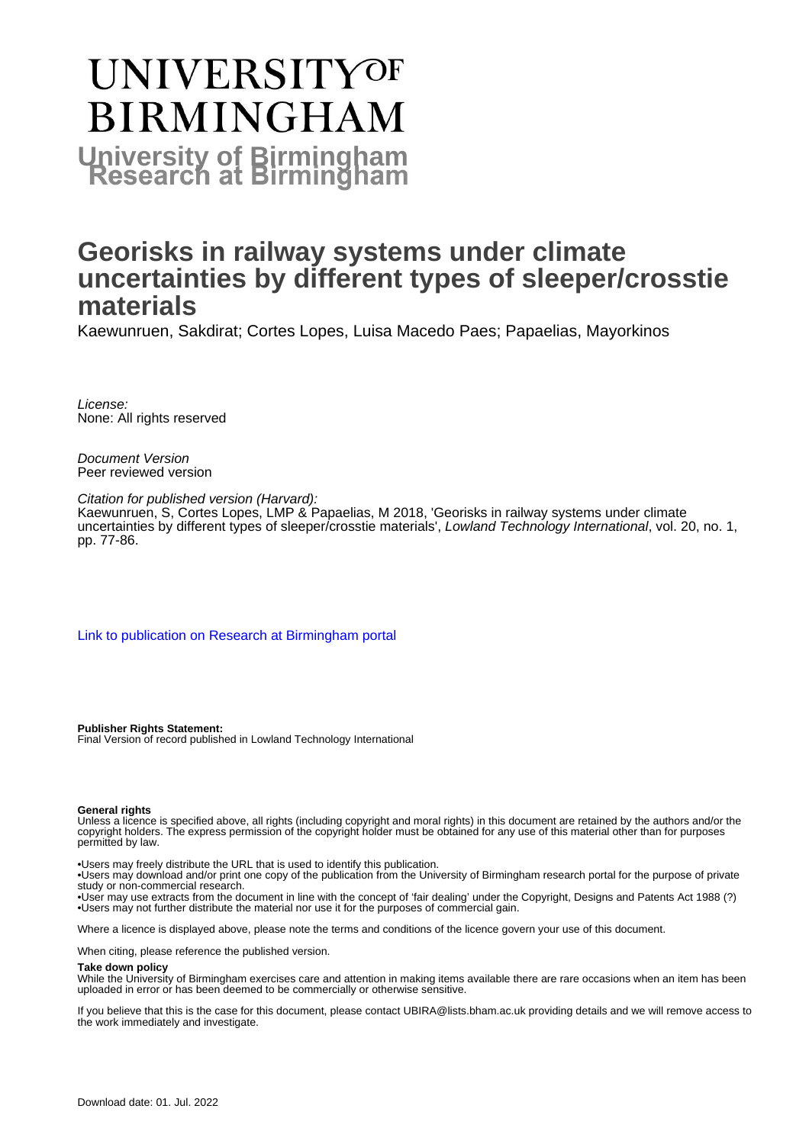# **UNIVERSITYOF BIRMINGHAM University of Birmingham**

## **Georisks in railway systems under climate uncertainties by different types of sleeper/crosstie materials**

Kaewunruen, Sakdirat; Cortes Lopes, Luisa Macedo Paes; Papaelias, Mayorkinos

License: None: All rights reserved

Document Version Peer reviewed version

Citation for published version (Harvard): Kaewunruen, S, Cortes Lopes, LMP & Papaelias, M 2018, 'Georisks in railway systems under climate uncertainties by different types of sleeper/crosstie materials', Lowland Technology International, vol. 20, no. 1, pp. 77-86.

[Link to publication on Research at Birmingham portal](https://birmingham.elsevierpure.com/en/publications/933c0c6a-d8c5-4838-a203-c1403c7323ab)

**Publisher Rights Statement:** Final Version of record published in Lowland Technology International

#### **General rights**

Unless a licence is specified above, all rights (including copyright and moral rights) in this document are retained by the authors and/or the copyright holders. The express permission of the copyright holder must be obtained for any use of this material other than for purposes permitted by law.

• Users may freely distribute the URL that is used to identify this publication.

• Users may download and/or print one copy of the publication from the University of Birmingham research portal for the purpose of private study or non-commercial research.

• User may use extracts from the document in line with the concept of 'fair dealing' under the Copyright, Designs and Patents Act 1988 (?) • Users may not further distribute the material nor use it for the purposes of commercial gain.

Where a licence is displayed above, please note the terms and conditions of the licence govern your use of this document.

When citing, please reference the published version.

#### **Take down policy**

While the University of Birmingham exercises care and attention in making items available there are rare occasions when an item has been uploaded in error or has been deemed to be commercially or otherwise sensitive.

If you believe that this is the case for this document, please contact UBIRA@lists.bham.ac.uk providing details and we will remove access to the work immediately and investigate.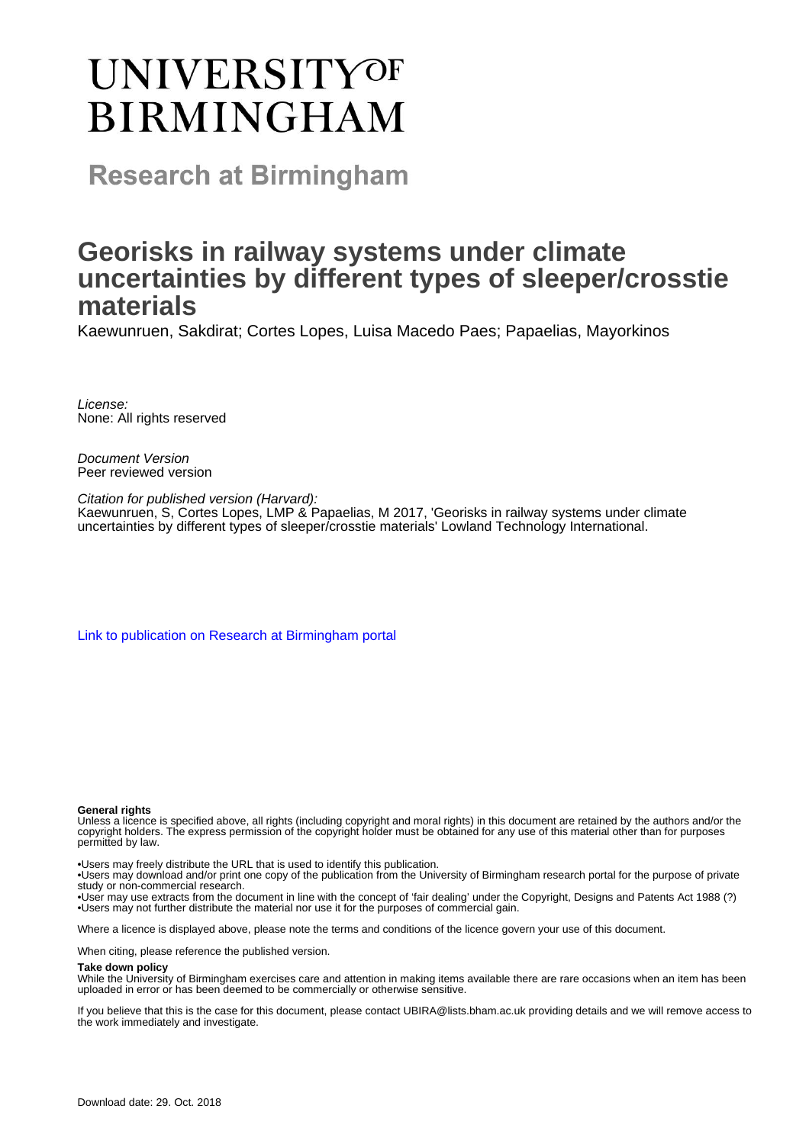## **UNIVERSITYOF BIRMINGHAM**

**Research at Birmingham** 

## **Georisks in railway systems under climate uncertainties by different types of sleeper/crosstie materials**

Kaewunruen, Sakdirat; Cortes Lopes, Luisa Macedo Paes; Papaelias, Mayorkinos

License: None: All rights reserved

Document Version Peer reviewed version

Citation for published version (Harvard): Kaewunruen, S, Cortes Lopes, LMP & Papaelias, M 2017, 'Georisks in railway systems under climate uncertainties by different types of sleeper/crosstie materials' Lowland Technology International.

[Link to publication on Research at Birmingham portal](https://research.birmingham.ac.uk/portal/en/publications/georisks-in-railway-systems-under-climate-uncertainties-by-different-types-of-sleepercrosstie-materials(933c0c6a-d8c5-4838-a203-c1403c7323ab).html)

#### **General rights**

Unless a licence is specified above, all rights (including copyright and moral rights) in this document are retained by the authors and/or the copyright holders. The express permission of the copyright holder must be obtained for any use of this material other than for purposes permitted by law.

• Users may freely distribute the URL that is used to identify this publication.

• Users may download and/or print one copy of the publication from the University of Birmingham research portal for the purpose of private study or non-commercial research.

• User may use extracts from the document in line with the concept of 'fair dealing' under the Copyright, Designs and Patents Act 1988 (?) • Users may not further distribute the material nor use it for the purposes of commercial gain.

Where a licence is displayed above, please note the terms and conditions of the licence govern your use of this document.

When citing, please reference the published version.

#### **Take down policy**

While the University of Birmingham exercises care and attention in making items available there are rare occasions when an item has been uploaded in error or has been deemed to be commercially or otherwise sensitive.

If you believe that this is the case for this document, please contact UBIRA@lists.bham.ac.uk providing details and we will remove access to the work immediately and investigate.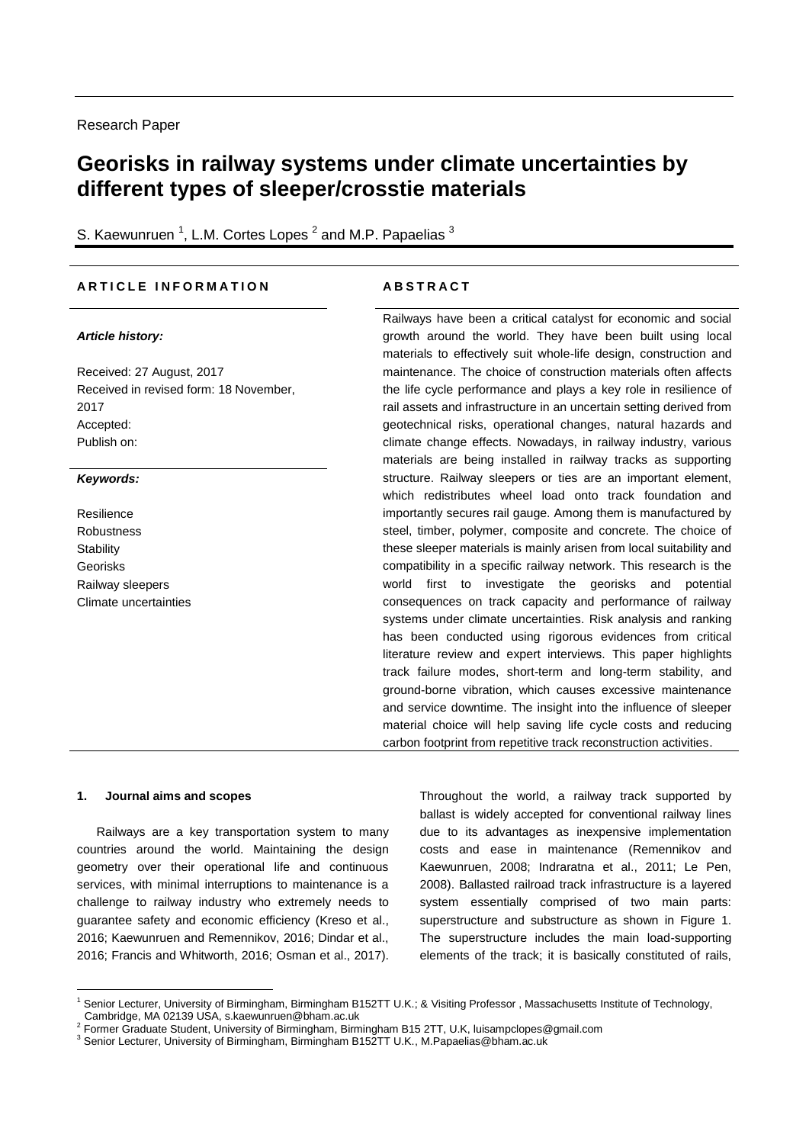## **Georisks in railway systems under climate uncertainties by different types of sleeper/crosstie materials**

S. Kaewunruen<sup>1</sup>, L.M. Cortes Lopes<sup>2</sup> and M.P. Papaelias<sup>3</sup>

#### **A R T I C L E I N F O R M A T I O N A B S T R A C T**

### *Article history:*

Received: 27 August, 2017 Received in revised form: 18 November, 2017 Accepted: Publish on:

### *Keywords:*

Resilience Robustness **Stability** Georisks Railway sleepers Climate uncertainties

Railways have been a critical catalyst for economic and social growth around the world. They have been built using local materials to effectively suit whole-life design, construction and maintenance. The choice of construction materials often affects the life cycle performance and plays a key role in resilience of rail assets and infrastructure in an uncertain setting derived from geotechnical risks, operational changes, natural hazards and climate change effects. Nowadays, in railway industry, various materials are being installed in railway tracks as supporting structure. Railway sleepers or ties are an important element, which redistributes wheel load onto track foundation and importantly secures rail gauge. Among them is manufactured by steel, timber, polymer, composite and concrete. The choice of these sleeper materials is mainly arisen from local suitability and compatibility in a specific railway network. This research is the world first to investigate the georisks and potential consequences on track capacity and performance of railway systems under climate uncertainties. Risk analysis and ranking has been conducted using rigorous evidences from critical literature review and expert interviews. This paper highlights track failure modes, short-term and long-term stability, and ground-borne vibration, which causes excessive maintenance and service downtime. The insight into the influence of sleeper material choice will help saving life cycle costs and reducing carbon footprint from repetitive track reconstruction activities.

#### **1. Journal aims and scopes**

<u>.</u>

Railways are a key transportation system to many countries around the world. Maintaining the design geometry over their operational life and continuous services, with minimal interruptions to maintenance is a challenge to railway industry who extremely needs to guarantee safety and economic efficiency (Kreso et al., 2016; Kaewunruen and Remennikov, 2016; Dindar et al., 2016; Francis and Whitworth, 2016; Osman et al., 2017).

Throughout the world, a railway track supported by ballast is widely accepted for conventional railway lines due to its advantages as inexpensive implementation costs and ease in maintenance (Remennikov and Kaewunruen, 2008; Indraratna et al., 2011; Le Pen, 2008). Ballasted railroad track infrastructure is a layered system essentially comprised of two main parts: superstructure and substructure as shown in Figure 1. The superstructure includes the main load-supporting elements of the track; it is basically constituted of rails,

<sup>&</sup>lt;sup>1</sup> Senior Lecturer, University of Birmingham, Birmingham B152TT U.K.; & Visiting Professor, Massachusetts Institute of Technology, Cambridge, MA 02139 USA, s.kaewunruen@bham.ac.uk

<sup>&</sup>lt;sup>2</sup> Former Graduate Student, University of Birmingham, Birmingham B15 2TT, U.K, luisampclopes@gmail.com

<sup>&</sup>lt;sup>3</sup> Senior Lecturer, University of Birmingham, Birmingham B152TT U.K., M.Papaelias@bham.ac.uk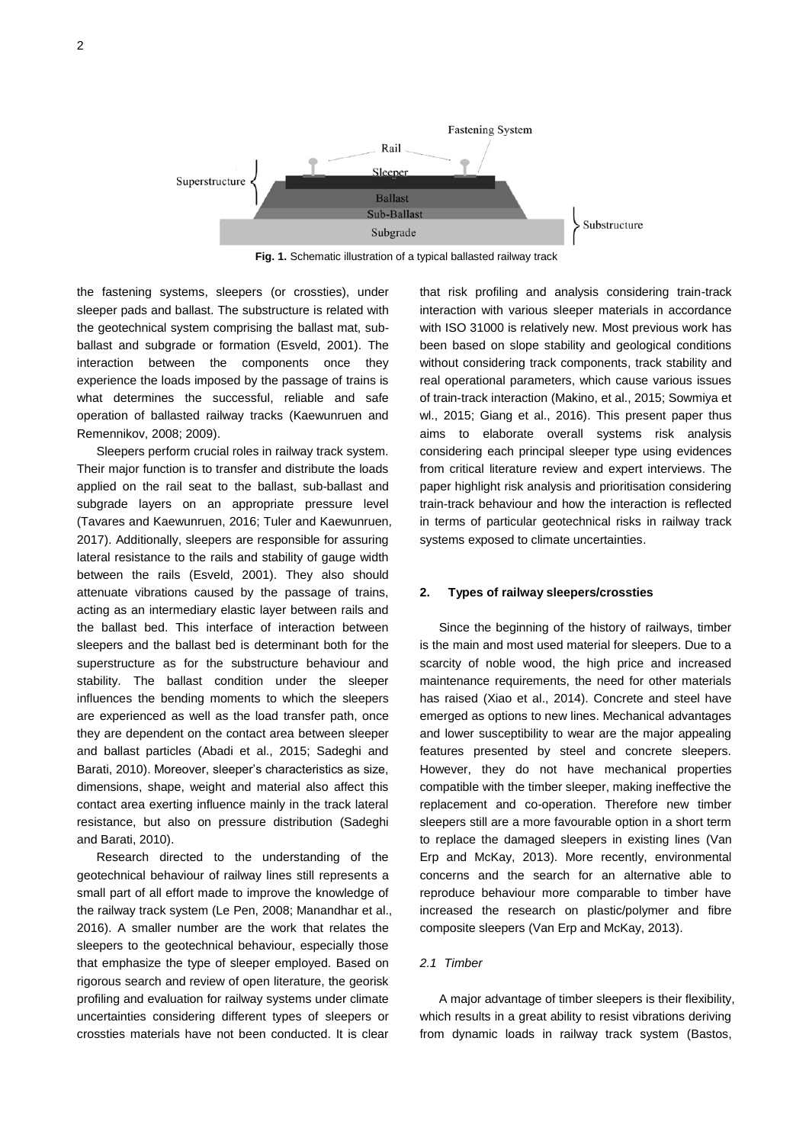

**Fig. 1.** Schematic illustration of a typical ballasted railway track

the fastening systems, sleepers (or crossties), under sleeper pads and ballast. The substructure is related with the geotechnical system comprising the ballast mat, subballast and subgrade or formation (Esveld, 2001). The interaction between the components once they experience the loads imposed by the passage of trains is what determines the successful, reliable and safe operation of ballasted railway tracks (Kaewunruen and Remennikov, 2008; 2009).

Sleepers perform crucial roles in railway track system. Their major function is to transfer and distribute the loads applied on the rail seat to the ballast, sub-ballast and subgrade layers on an appropriate pressure level (Tavares and Kaewunruen, 2016; Tuler and Kaewunruen, 2017). Additionally, sleepers are responsible for assuring lateral resistance to the rails and stability of gauge width between the rails (Esveld, 2001). They also should attenuate vibrations caused by the passage of trains, acting as an intermediary elastic layer between rails and the ballast bed. This interface of interaction between sleepers and the ballast bed is determinant both for the superstructure as for the substructure behaviour and stability. The ballast condition under the sleeper influences the bending moments to which the sleepers are experienced as well as the load transfer path, once they are dependent on the contact area between sleeper and ballast particles (Abadi et al., 2015; Sadeghi and Barati, 2010). Moreover, sleeper's characteristics as size, dimensions, shape, weight and material also affect this contact area exerting influence mainly in the track lateral resistance, but also on pressure distribution (Sadeghi and Barati, 2010).

Research directed to the understanding of the geotechnical behaviour of railway lines still represents a small part of all effort made to improve the knowledge of the railway track system (Le Pen, 2008; Manandhar et al., 2016). A smaller number are the work that relates the sleepers to the geotechnical behaviour, especially those that emphasize the type of sleeper employed. Based on rigorous search and review of open literature, the georisk profiling and evaluation for railway systems under climate uncertainties considering different types of sleepers or crossties materials have not been conducted. It is clear

that risk profiling and analysis considering train-track interaction with various sleeper materials in accordance with ISO 31000 is relatively new. Most previous work has been based on slope stability and geological conditions without considering track components, track stability and real operational parameters, which cause various issues of train-track interaction (Makino, et al., 2015; Sowmiya et wl., 2015; Giang et al., 2016). This present paper thus aims to elaborate overall systems risk analysis considering each principal sleeper type using evidences from critical literature review and expert interviews. The paper highlight risk analysis and prioritisation considering train-track behaviour and how the interaction is reflected in terms of particular geotechnical risks in railway track systems exposed to climate uncertainties.

#### **2. Types of railway sleepers/crossties**

Since the beginning of the history of railways, timber is the main and most used material for sleepers. Due to a scarcity of noble wood, the high price and increased maintenance requirements, the need for other materials has raised (Xiao et al., 2014). Concrete and steel have emerged as options to new lines. Mechanical advantages and lower susceptibility to wear are the major appealing features presented by steel and concrete sleepers. However, they do not have mechanical properties compatible with the timber sleeper, making ineffective the replacement and co-operation. Therefore new timber sleepers still are a more favourable option in a short term to replace the damaged sleepers in existing lines (Van Erp and McKay, 2013). More recently, environmental concerns and the search for an alternative able to reproduce behaviour more comparable to timber have increased the research on plastic/polymer and fibre composite sleepers (Van Erp and McKay, 2013).

#### *2.1 Timber*

A major advantage of timber sleepers is their flexibility, which results in a great ability to resist vibrations deriving from dynamic loads in railway track system (Bastos,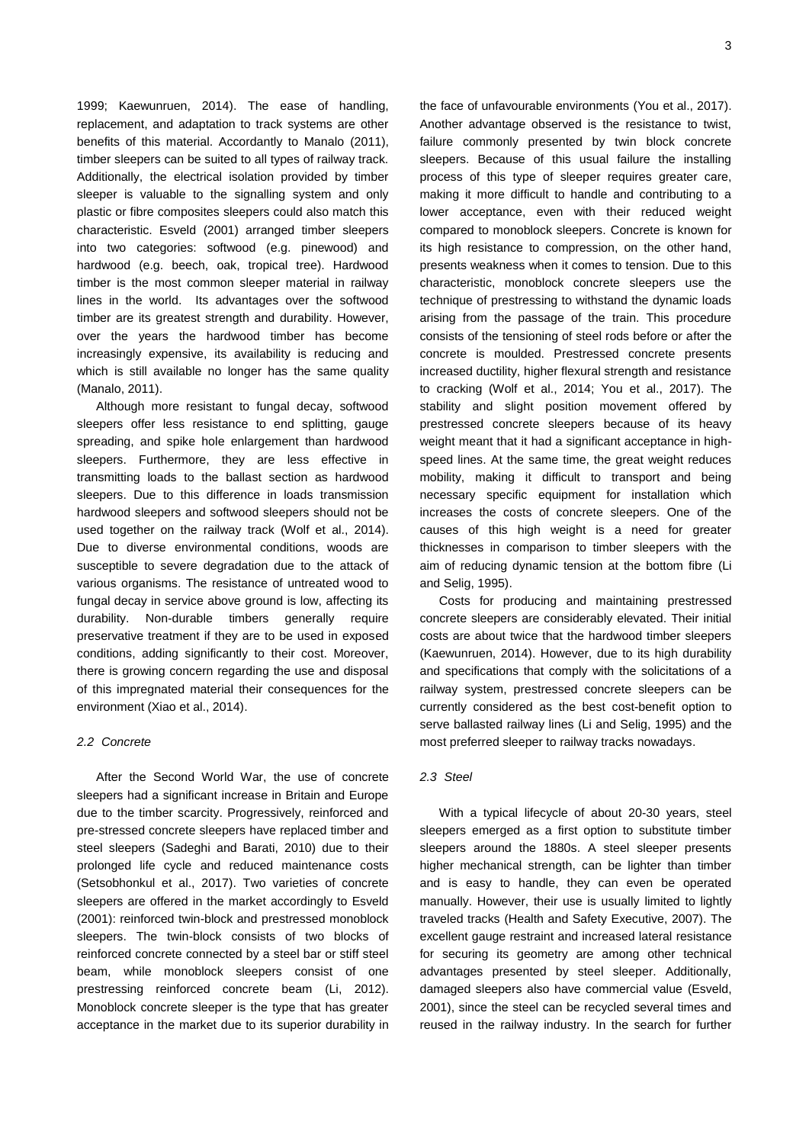1999; Kaewunruen, 2014). The ease of handling, replacement, and adaptation to track systems are other benefits of this material. Accordantly to Manalo (2011), timber sleepers can be suited to all types of railway track. Additionally, the electrical isolation provided by timber sleeper is valuable to the signalling system and only plastic or fibre composites sleepers could also match this characteristic. Esveld (2001) arranged timber sleepers into two categories: softwood (e.g. pinewood) and hardwood (e.g. beech, oak, tropical tree). Hardwood timber is the most common sleeper material in railway lines in the world. Its advantages over the softwood timber are its greatest strength and durability. However, over the years the hardwood timber has become increasingly expensive, its availability is reducing and which is still available no longer has the same quality (Manalo, 2011).

Although more resistant to fungal decay, softwood sleepers offer less resistance to end splitting, gauge spreading, and spike hole enlargement than hardwood sleepers. Furthermore, they are less effective in transmitting loads to the ballast section as hardwood sleepers. Due to this difference in loads transmission hardwood sleepers and softwood sleepers should not be used together on the railway track (Wolf et al., 2014). Due to diverse environmental conditions, woods are susceptible to severe degradation due to the attack of various organisms. The resistance of untreated wood to fungal decay in service above ground is low, affecting its durability. Non-durable timbers generally require preservative treatment if they are to be used in exposed conditions, adding significantly to their cost. Moreover, there is growing concern regarding the use and disposal of this impregnated material their consequences for the environment (Xiao et al., 2014).

#### *2.2 Concrete*

After the Second World War, the use of concrete sleepers had a significant increase in Britain and Europe due to the timber scarcity. Progressively, reinforced and pre-stressed concrete sleepers have replaced timber and steel sleepers (Sadeghi and Barati, 2010) due to their prolonged life cycle and reduced maintenance costs (Setsobhonkul et al., 2017). Two varieties of concrete sleepers are offered in the market accordingly to Esveld (2001): reinforced twin-block and prestressed monoblock sleepers. The twin-block consists of two blocks of reinforced concrete connected by a steel bar or stiff steel beam, while monoblock sleepers consist of one prestressing reinforced concrete beam (Li, 2012). Monoblock concrete sleeper is the type that has greater acceptance in the market due to its superior durability in

the face of unfavourable environments (You et al., 2017). Another advantage observed is the resistance to twist, failure commonly presented by twin block concrete sleepers. Because of this usual failure the installing process of this type of sleeper requires greater care, making it more difficult to handle and contributing to a lower acceptance, even with their reduced weight compared to monoblock sleepers. Concrete is known for its high resistance to compression, on the other hand, presents weakness when it comes to tension. Due to this characteristic, monoblock concrete sleepers use the technique of prestressing to withstand the dynamic loads arising from the passage of the train. This procedure consists of the tensioning of steel rods before or after the concrete is moulded. Prestressed concrete presents increased ductility, higher flexural strength and resistance to cracking (Wolf et al., 2014; You et al., 2017). The stability and slight position movement offered by prestressed concrete sleepers because of its heavy weight meant that it had a significant acceptance in highspeed lines. At the same time, the great weight reduces mobility, making it difficult to transport and being necessary specific equipment for installation which increases the costs of concrete sleepers. One of the causes of this high weight is a need for greater thicknesses in comparison to timber sleepers with the aim of reducing dynamic tension at the bottom fibre (Li and Selig, 1995).

Costs for producing and maintaining prestressed concrete sleepers are considerably elevated. Their initial costs are about twice that the hardwood timber sleepers (Kaewunruen, 2014). However, due to its high durability and specifications that comply with the solicitations of a railway system, prestressed concrete sleepers can be currently considered as the best cost-benefit option to serve ballasted railway lines (Li and Selig, 1995) and the most preferred sleeper to railway tracks nowadays.

#### *2.3 Steel*

With a typical lifecycle of about 20-30 years, steel sleepers emerged as a first option to substitute timber sleepers around the 1880s. A steel sleeper presents higher mechanical strength, can be lighter than timber and is easy to handle, they can even be operated manually. However, their use is usually limited to lightly traveled tracks (Health and Safety Executive, 2007). The excellent gauge restraint and increased lateral resistance for securing its geometry are among other technical advantages presented by steel sleeper. Additionally, damaged sleepers also have commercial value (Esveld, 2001), since the steel can be recycled several times and reused in the railway industry. In the search for further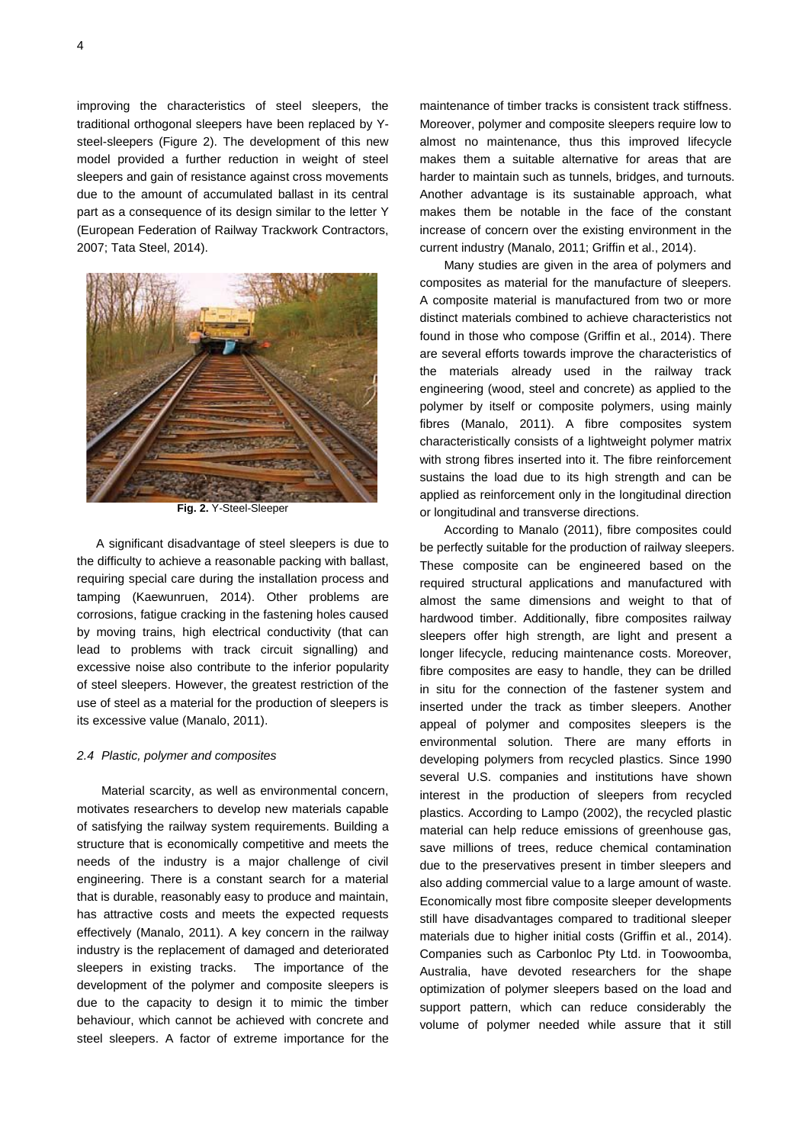improving the characteristics of steel sleepers, the traditional orthogonal sleepers have been replaced by Ysteel-sleepers (Figure 2). The development of this new model provided a further reduction in weight of steel sleepers and gain of resistance against cross movements due to the amount of accumulated ballast in its central part as a consequence of its design similar to the letter Y (European Federation of Railway Trackwork Contractors, 2007; Tata Steel, 2014).



**Fig. 2.** Y-Steel-Sleeper

A significant disadvantage of steel sleepers is due to the difficulty to achieve a reasonable packing with ballast, requiring special care during the installation process and tamping (Kaewunruen, 2014). Other problems are corrosions, fatigue cracking in the fastening holes caused by moving trains, high electrical conductivity (that can lead to problems with track circuit signalling) and excessive noise also contribute to the inferior popularity of steel sleepers. However, the greatest restriction of the use of steel as a material for the production of sleepers is its excessive value (Manalo, 2011).

#### *2.4 Plastic, polymer and composites*

Material scarcity, as well as environmental concern, motivates researchers to develop new materials capable of satisfying the railway system requirements. Building a structure that is economically competitive and meets the needs of the industry is a major challenge of civil engineering. There is a constant search for a material that is durable, reasonably easy to produce and maintain, has attractive costs and meets the expected requests effectively (Manalo, 2011). A key concern in the railway industry is the replacement of damaged and deteriorated sleepers in existing tracks. The importance of the development of the polymer and composite sleepers is due to the capacity to design it to mimic the timber behaviour, which cannot be achieved with concrete and steel sleepers. A factor of extreme importance for the

maintenance of timber tracks is consistent track stiffness. Moreover, polymer and composite sleepers require low to almost no maintenance, thus this improved lifecycle makes them a suitable alternative for areas that are harder to maintain such as tunnels, bridges, and turnouts. Another advantage is its sustainable approach, what makes them be notable in the face of the constant increase of concern over the existing environment in the current industry (Manalo, 2011; Griffin et al., 2014).

Many studies are given in the area of polymers and composites as material for the manufacture of sleepers. A composite material is manufactured from two or more distinct materials combined to achieve characteristics not found in those who compose (Griffin et al., 2014). There are several efforts towards improve the characteristics of the materials already used in the railway track engineering (wood, steel and concrete) as applied to the polymer by itself or composite polymers, using mainly fibres (Manalo, 2011). A fibre composites system characteristically consists of a lightweight polymer matrix with strong fibres inserted into it. The fibre reinforcement sustains the load due to its high strength and can be applied as reinforcement only in the longitudinal direction or longitudinal and transverse directions.

According to Manalo (2011), fibre composites could be perfectly suitable for the production of railway sleepers. These composite can be engineered based on the required structural applications and manufactured with almost the same dimensions and weight to that of hardwood timber. Additionally, fibre composites railway sleepers offer high strength, are light and present a longer lifecycle, reducing maintenance costs. Moreover, fibre composites are easy to handle, they can be drilled in situ for the connection of the fastener system and inserted under the track as timber sleepers. Another appeal of polymer and composites sleepers is the environmental solution. There are many efforts in developing polymers from recycled plastics. Since 1990 several U.S. companies and institutions have shown interest in the production of sleepers from recycled plastics. According to Lampo (2002), the recycled plastic material can help reduce emissions of greenhouse gas, save millions of trees, reduce chemical contamination due to the preservatives present in timber sleepers and also adding commercial value to a large amount of waste. Economically most fibre composite sleeper developments still have disadvantages compared to traditional sleeper materials due to higher initial costs (Griffin et al., 2014). Companies such as Carbonloc Pty Ltd. in Toowoomba, Australia, have devoted researchers for the shape optimization of polymer sleepers based on the load and support pattern, which can reduce considerably the volume of polymer needed while assure that it still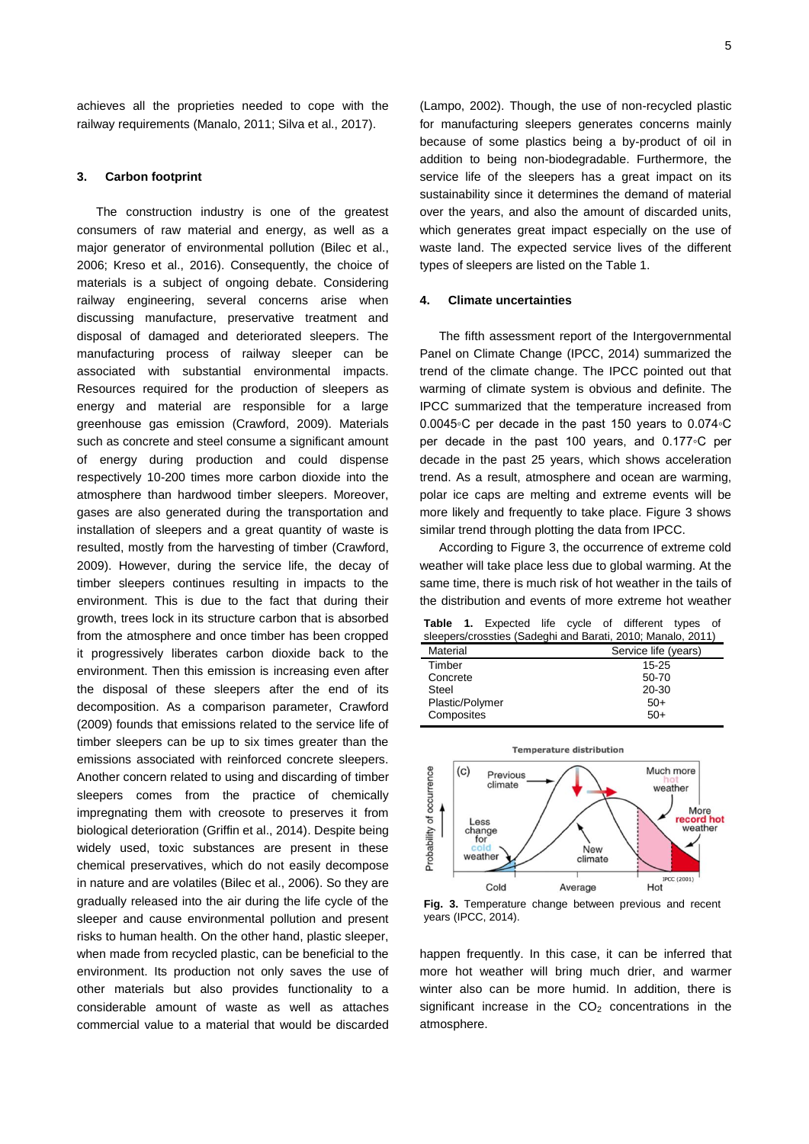achieves all the proprieties needed to cope with the railway requirements (Manalo, 2011; Silva et al., 2017).

#### **3. Carbon footprint**

The construction industry is one of the greatest consumers of raw material and energy, as well as a major generator of environmental pollution (Bilec et al., 2006; Kreso et al., 2016). Consequently, the choice of materials is a subject of ongoing debate. Considering railway engineering, several concerns arise when discussing manufacture, preservative treatment and disposal of damaged and deteriorated sleepers. The manufacturing process of railway sleeper can be associated with substantial environmental impacts. Resources required for the production of sleepers as energy and material are responsible for a large greenhouse gas emission (Crawford, 2009). Materials such as concrete and steel consume a significant amount of energy during production and could dispense respectively 10-200 times more carbon dioxide into the atmosphere than hardwood timber sleepers. Moreover, gases are also generated during the transportation and installation of sleepers and a great quantity of waste is resulted, mostly from the harvesting of timber (Crawford, 2009). However, during the service life, the decay of timber sleepers continues resulting in impacts to the environment. This is due to the fact that during their growth, trees lock in its structure carbon that is absorbed from the atmosphere and once timber has been cropped it progressively liberates carbon dioxide back to the environment. Then this emission is increasing even after the disposal of these sleepers after the end of its decomposition. As a comparison parameter, Crawford (2009) founds that emissions related to the service life of timber sleepers can be up to six times greater than the emissions associated with reinforced concrete sleepers. Another concern related to using and discarding of timber sleepers comes from the practice of chemically impregnating them with creosote to preserves it from biological deterioration (Griffin et al., 2014). Despite being widely used, toxic substances are present in these chemical preservatives, which do not easily decompose in nature and are volatiles (Bilec et al., 2006). So they are gradually released into the air during the life cycle of the sleeper and cause environmental pollution and present risks to human health. On the other hand, plastic sleeper, when made from recycled plastic, can be beneficial to the environment. Its production not only saves the use of other materials but also provides functionality to a considerable amount of waste as well as attaches commercial value to a material that would be discarded

(Lampo, 2002). Though, the use of non-recycled plastic for manufacturing sleepers generates concerns mainly because of some plastics being a by-product of oil in addition to being non-biodegradable. Furthermore, the service life of the sleepers has a great impact on its sustainability since it determines the demand of material over the years, and also the amount of discarded units, which generates great impact especially on the use of waste land. The expected service lives of the different types of sleepers are listed on the Table 1.

#### **4. Climate uncertainties**

The fifth assessment report of the Intergovernmental Panel on Climate Change (IPCC, 2014) summarized the trend of the climate change. The IPCC pointed out that warming of climate system is obvious and definite. The IPCC summarized that the temperature increased from 0.0045◦C per decade in the past 150 years to 0.074◦C per decade in the past 100 years, and 0.177◦C per decade in the past 25 years, which shows acceleration trend. As a result, atmosphere and ocean are warming, polar ice caps are melting and extreme events will be more likely and frequently to take place. Figure 3 shows similar trend through plotting the data from IPCC.

According to Figure 3, the occurrence of extreme cold weather will take place less due to global warming. At the same time, there is much risk of hot weather in the tails of the distribution and events of more extreme hot weather

**Table 1.** Expected life cycle of different types of sleepers/crossties (Sadeghi and Barati, 2010; Manalo, 2011)

|                 | $\frac{1}{2}$        |
|-----------------|----------------------|
| Material        | Service life (years) |
| Timber          | 15 25                |
| Concrete        | 50-70                |
| Steel           | 20-30                |
| Plastic/Polymer | $50+$                |
| Composites      | $50+$                |
|                 |                      |



**Fig. 3.** Temperature change between previous and recent years (IPCC, 2014).

happen frequently. In this case, it can be inferred that more hot weather will bring much drier, and warmer winter also can be more humid. In addition, there is significant increase in the  $CO<sub>2</sub>$  concentrations in the atmosphere.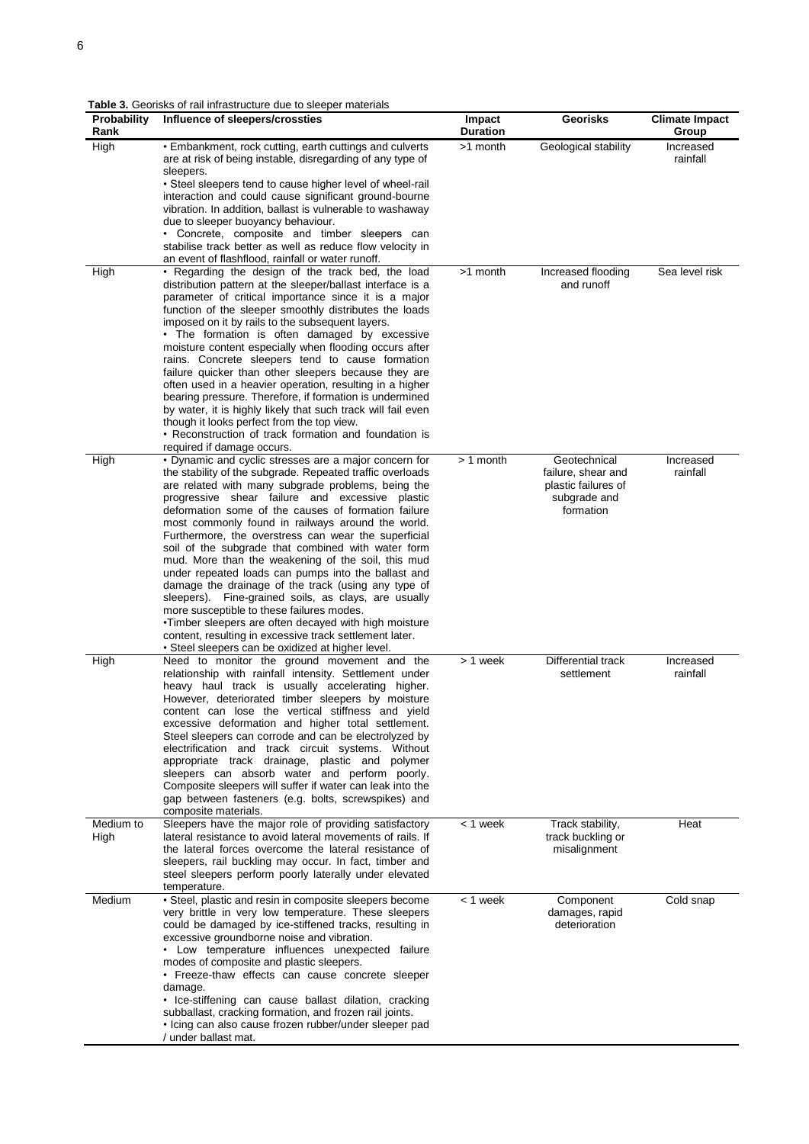**Table 3.** Georisks of rail infrastructure due to sleeper materials

| Probability<br>Rank | Influence of sleepers/crossties                                                                                                                                                                                                                                                                                                                                                                                                                                                                                                                                                                                                                                                                                                                                                                                                                                                                                                        | Impact<br><b>Duration</b> | <b>Georisks</b>                                                                        | <b>Climate Impact</b><br>Group |
|---------------------|----------------------------------------------------------------------------------------------------------------------------------------------------------------------------------------------------------------------------------------------------------------------------------------------------------------------------------------------------------------------------------------------------------------------------------------------------------------------------------------------------------------------------------------------------------------------------------------------------------------------------------------------------------------------------------------------------------------------------------------------------------------------------------------------------------------------------------------------------------------------------------------------------------------------------------------|---------------------------|----------------------------------------------------------------------------------------|--------------------------------|
| High                | • Embankment, rock cutting, earth cuttings and culverts<br>are at risk of being instable, disregarding of any type of                                                                                                                                                                                                                                                                                                                                                                                                                                                                                                                                                                                                                                                                                                                                                                                                                  | >1 month                  | Geological stability                                                                   | Increased<br>rainfall          |
|                     | sleepers.<br>• Steel sleepers tend to cause higher level of wheel-rail<br>interaction and could cause significant ground-bourne<br>vibration. In addition, ballast is vulnerable to washaway<br>due to sleeper buoyancy behaviour.<br>• Concrete, composite and timber sleepers can<br>stabilise track better as well as reduce flow velocity in                                                                                                                                                                                                                                                                                                                                                                                                                                                                                                                                                                                       |                           |                                                                                        |                                |
| High                | an event of flashflood, rainfall or water runoff.<br>• Regarding the design of the track bed, the load<br>distribution pattern at the sleeper/ballast interface is a<br>parameter of critical importance since it is a major<br>function of the sleeper smoothly distributes the loads<br>imposed on it by rails to the subsequent layers.<br>• The formation is often damaged by excessive<br>moisture content especially when flooding occurs after<br>rains. Concrete sleepers tend to cause formation<br>failure quicker than other sleepers because they are<br>often used in a heavier operation, resulting in a higher<br>bearing pressure. Therefore, if formation is undermined<br>by water, it is highly likely that such track will fail even<br>though it looks perfect from the top view.<br>• Reconstruction of track formation and foundation is                                                                        | >1 month                  | Increased flooding<br>and runoff                                                       | Sea level risk                 |
| High                | required if damage occurs.<br>· Dynamic and cyclic stresses are a major concern for<br>the stability of the subgrade. Repeated traffic overloads<br>are related with many subgrade problems, being the<br>progressive shear failure and excessive plastic<br>deformation some of the causes of formation failure<br>most commonly found in railways around the world.<br>Furthermore, the overstress can wear the superficial<br>soil of the subgrade that combined with water form<br>mud. More than the weakening of the soil, this mud<br>under repeated loads can pumps into the ballast and<br>damage the drainage of the track (using any type of<br>sleepers). Fine-grained soils, as clays, are usually<br>more susceptible to these failures modes.<br>. Timber sleepers are often decayed with high moisture<br>content, resulting in excessive track settlement later.<br>• Steel sleepers can be oxidized at higher level. | $> 1$ month               | Geotechnical<br>failure, shear and<br>plastic failures of<br>subgrade and<br>formation | Increased<br>rainfall          |
| High                | Need to monitor the ground movement and the<br>relationship with rainfall intensity. Settlement under<br>heavy haul track is usually accelerating higher.<br>However, deteriorated timber sleepers by moisture<br>content can lose the vertical stiffness and yield<br>excessive deformation and higher total settlement.<br>Steel sleepers can corrode and can be electrolyzed by<br>electrification and track circuit systems. Without<br>appropriate track drainage, plastic and polymer<br>sleepers can absorb water and perform poorly.<br>Composite sleepers will suffer if water can leak into the<br>gap between fasteners (e.g. bolts, screwspikes) and<br>composite materials.                                                                                                                                                                                                                                               | > 1 week                  | <b>Differential track</b><br>settlement                                                | Increased<br>rainfall          |
| Medium to<br>High   | Sleepers have the major role of providing satisfactory<br>lateral resistance to avoid lateral movements of rails. If<br>the lateral forces overcome the lateral resistance of<br>sleepers, rail buckling may occur. In fact, timber and<br>steel sleepers perform poorly laterally under elevated<br>temperature.                                                                                                                                                                                                                                                                                                                                                                                                                                                                                                                                                                                                                      | $< 1$ week                | Track stability,<br>track buckling or<br>misalignment                                  | Heat                           |
| Medium              | • Steel, plastic and resin in composite sleepers become<br>very brittle in very low temperature. These sleepers<br>could be damaged by ice-stiffened tracks, resulting in<br>excessive groundborne noise and vibration.<br>• Low temperature influences unexpected failure<br>modes of composite and plastic sleepers.<br>• Freeze-thaw effects can cause concrete sleeper<br>damage.<br>· Ice-stiffening can cause ballast dilation, cracking<br>subballast, cracking formation, and frozen rail joints.<br>· Icing can also cause frozen rubber/under sleeper pad<br>/ under ballast mat.                                                                                                                                                                                                                                                                                                                                            | < 1 week                  | Component<br>damages, rapid<br>deterioration                                           | Cold snap                      |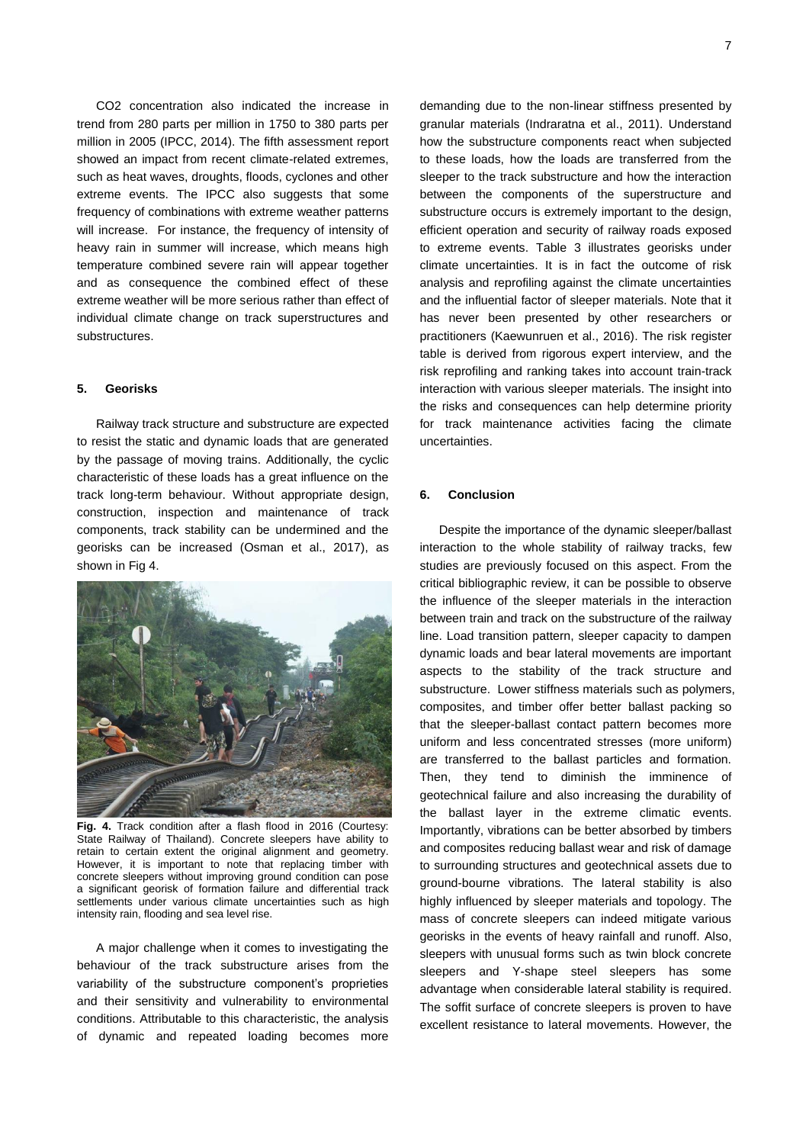CO2 concentration also indicated the increase in trend from 280 parts per million in 1750 to 380 parts per million in 2005 (IPCC, 2014). The fifth assessment report showed an impact from recent climate-related extremes, such as heat waves, droughts, floods, cyclones and other extreme events. The IPCC also suggests that some frequency of combinations with extreme weather patterns will increase. For instance, the frequency of intensity of heavy rain in summer will increase, which means high temperature combined severe rain will appear together and as consequence the combined effect of these extreme weather will be more serious rather than effect of individual climate change on track superstructures and substructures.

#### **5. Georisks**

Railway track structure and substructure are expected to resist the static and dynamic loads that are generated by the passage of moving trains. Additionally, the cyclic characteristic of these loads has a great influence on the track long-term behaviour. Without appropriate design, construction, inspection and maintenance of track components, track stability can be undermined and the georisks can be increased (Osman et al., 2017), as shown in Fig 4.



**Fig. 4.** Track condition after a flash flood in 2016 (Courtesy: State Railway of Thailand). Concrete sleepers have ability to retain to certain extent the original alignment and geometry. However, it is important to note that replacing timber with concrete sleepers without improving ground condition can pose a significant georisk of formation failure and differential track settlements under various climate uncertainties such as high intensity rain, flooding and sea level rise.

A major challenge when it comes to investigating the behaviour of the track substructure arises from the variability of the substructure component's proprieties and their sensitivity and vulnerability to environmental conditions. Attributable to this characteristic, the analysis of dynamic and repeated loading becomes more

demanding due to the non-linear stiffness presented by granular materials (Indraratna et al., 2011). Understand how the substructure components react when subjected to these loads, how the loads are transferred from the sleeper to the track substructure and how the interaction between the components of the superstructure and substructure occurs is extremely important to the design, efficient operation and security of railway roads exposed to extreme events. Table 3 illustrates georisks under climate uncertainties. It is in fact the outcome of risk analysis and reprofiling against the climate uncertainties and the influential factor of sleeper materials. Note that it has never been presented by other researchers or practitioners (Kaewunruen et al., 2016). The risk register table is derived from rigorous expert interview, and the risk reprofiling and ranking takes into account train-track interaction with various sleeper materials. The insight into the risks and consequences can help determine priority for track maintenance activities facing the climate uncertainties.

#### **6. Conclusion**

Despite the importance of the dynamic sleeper/ballast interaction to the whole stability of railway tracks, few studies are previously focused on this aspect. From the critical bibliographic review, it can be possible to observe the influence of the sleeper materials in the interaction between train and track on the substructure of the railway line. Load transition pattern, sleeper capacity to dampen dynamic loads and bear lateral movements are important aspects to the stability of the track structure and substructure. Lower stiffness materials such as polymers, composites, and timber offer better ballast packing so that the sleeper-ballast contact pattern becomes more uniform and less concentrated stresses (more uniform) are transferred to the ballast particles and formation. Then, they tend to diminish the imminence of geotechnical failure and also increasing the durability of the ballast layer in the extreme climatic events. Importantly, vibrations can be better absorbed by timbers and composites reducing ballast wear and risk of damage to surrounding structures and geotechnical assets due to ground-bourne vibrations. The lateral stability is also highly influenced by sleeper materials and topology. The mass of concrete sleepers can indeed mitigate various georisks in the events of heavy rainfall and runoff. Also, sleepers with unusual forms such as twin block concrete sleepers and Y-shape steel sleepers has some advantage when considerable lateral stability is required. The soffit surface of concrete sleepers is proven to have excellent resistance to lateral movements. However, the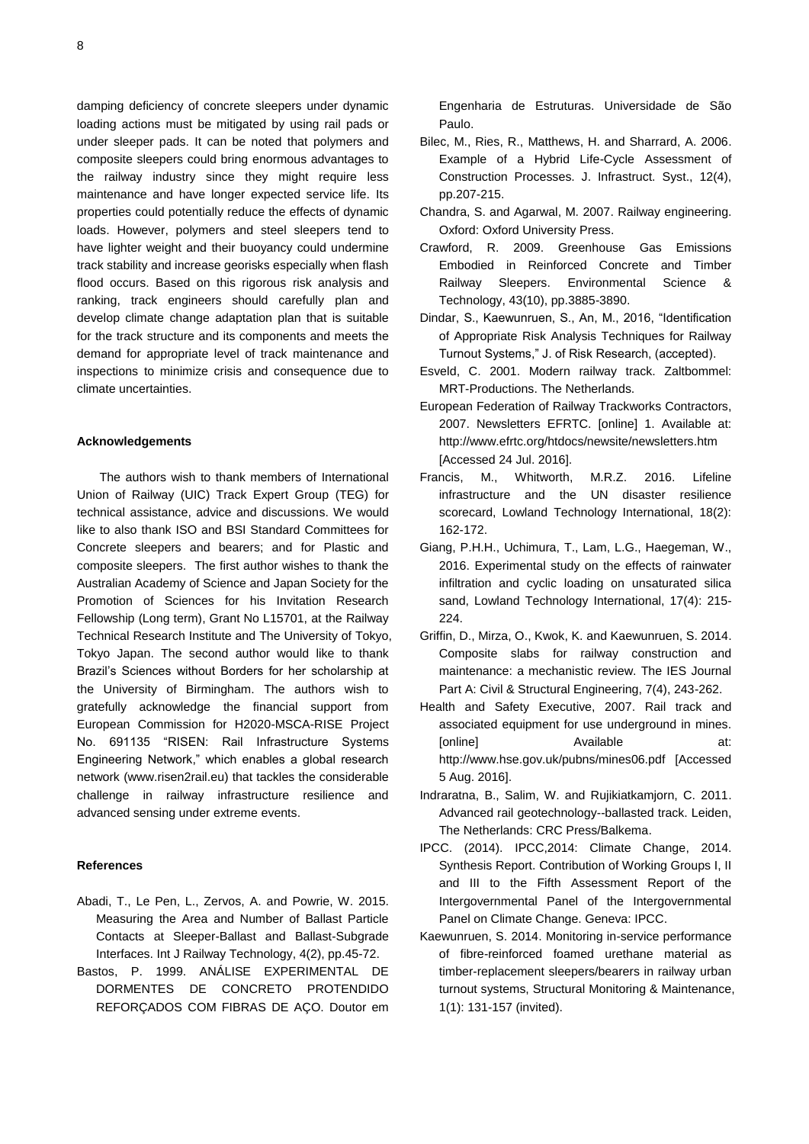damping deficiency of concrete sleepers under dynamic loading actions must be mitigated by using rail pads or under sleeper pads. It can be noted that polymers and composite sleepers could bring enormous advantages to the railway industry since they might require less maintenance and have longer expected service life. Its properties could potentially reduce the effects of dynamic loads. However, polymers and steel sleepers tend to have lighter weight and their buoyancy could undermine track stability and increase georisks especially when flash flood occurs. Based on this rigorous risk analysis and ranking, track engineers should carefully plan and develop climate change adaptation plan that is suitable for the track structure and its components and meets the demand for appropriate level of track maintenance and inspections to minimize crisis and consequence due to climate uncertainties.

#### **Acknowledgements**

 The authors wish to thank members of International Union of Railway (UIC) Track Expert Group (TEG) for technical assistance, advice and discussions. We would like to also thank ISO and BSI Standard Committees for Concrete sleepers and bearers; and for Plastic and composite sleepers. The first author wishes to thank the Australian Academy of Science and Japan Society for the Promotion of Sciences for his Invitation Research Fellowship (Long term), Grant No L15701, at the Railway Technical Research Institute and The University of Tokyo, Tokyo Japan. The second author would like to thank Brazil's Sciences without Borders for her scholarship at the University of Birmingham. The authors wish to gratefully acknowledge the financial support from European Commission for H2020-MSCA-RISE Project No. 691135 "RISEN: Rail Infrastructure Systems Engineering Network," which enables a global research network (www.risen2rail.eu) that tackles the considerable challenge in railway infrastructure resilience and advanced sensing under extreme events.

#### **References**

- Abadi, T., Le Pen, L., Zervos, A. and Powrie, W. 2015. Measuring the Area and Number of Ballast Particle Contacts at Sleeper-Ballast and Ballast-Subgrade Interfaces. Int J Railway Technology, 4(2), pp.45-72.
- Bastos, P. 1999. ANÁLISE EXPERIMENTAL DE DORMENTES DE CONCRETO PROTENDIDO REFORÇADOS COM FIBRAS DE AÇO. Doutor em

Engenharia de Estruturas. Universidade de São Paulo.

- Bilec, M., Ries, R., Matthews, H. and Sharrard, A. 2006. Example of a Hybrid Life-Cycle Assessment of Construction Processes. J. Infrastruct. Syst., 12(4), pp.207-215.
- Chandra, S. and Agarwal, M. 2007. Railway engineering. Oxford: Oxford University Press.
- Crawford, R. 2009. Greenhouse Gas Emissions Embodied in Reinforced Concrete and Timber Railway Sleepers. Environmental Science & Technology, 43(10), pp.3885-3890.
- Dindar, S., Kaewunruen, S., An, M., 2016, "Identification of Appropriate Risk Analysis Techniques for Railway Turnout Systems," J. of Risk Research, (accepted).
- Esveld, C. 2001. Modern railway track. Zaltbommel: MRT-Productions. The Netherlands.
- European Federation of Railway Trackworks Contractors, 2007. Newsletters EFRTC. [online] 1. Available at: http://www.efrtc.org/htdocs/newsite/newsletters.htm [Accessed 24 Jul. 2016].
- Francis, M., Whitworth, M.R.Z. 2016. Lifeline infrastructure and the UN disaster resilience scorecard, Lowland Technology International, 18(2): 162-172.
- Giang, P.H.H., Uchimura, T., Lam, L.G., Haegeman, W., 2016. Experimental study on the effects of rainwater infiltration and cyclic loading on unsaturated silica sand, Lowland Technology International, 17(4): 215- 224.
- Griffin, D., Mirza, O., Kwok, K. and Kaewunruen, S. 2014. Composite slabs for railway construction and maintenance: a mechanistic review. The IES Journal Part A: Civil & Structural Engineering, 7(4), 243-262.
- Health and Safety Executive, 2007. Rail track and associated equipment for use underground in mines. [online] **Available** at: http://www.hse.gov.uk/pubns/mines06.pdf [Accessed 5 Aug. 2016].
- Indraratna, B., Salim, W. and Rujikiatkamjorn, C. 2011. Advanced rail geotechnology--ballasted track. Leiden, The Netherlands: CRC Press/Balkema.
- IPCC. (2014). IPCC,2014: Climate Change, 2014. Synthesis Report. Contribution of Working Groups I, II and III to the Fifth Assessment Report of the Intergovernmental Panel of the Intergovernmental Panel on Climate Change. Geneva: IPCC.
- Kaewunruen, S. 2014. Monitoring in-service performance of fibre-reinforced foamed urethane material as timber-replacement sleepers/bearers in railway urban turnout systems, Structural Monitoring & Maintenance, 1(1): 131-157 (invited).